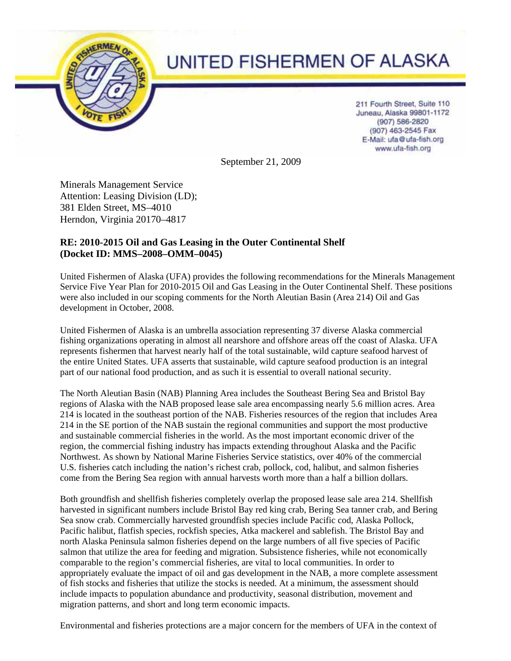

# UNITED FISHERMEN OF ALASKA

211 Fourth Street, Suite 110 Juneau, Alaska 99801-1172 (907) 586-2820 (907) 463-2545 Fax E-Mail: ufa@ufa-fish.org www.ufa-fish.org

September 21, 2009

Minerals Management Service Attention: Leasing Division (LD); 381 Elden Street, MS–4010 Herndon, Virginia 20170–4817

## **RE: 2010-2015 Oil and Gas Leasing in the Outer Continental Shelf (Docket ID: MMS–2008–OMM–0045)**

United Fishermen of Alaska (UFA) provides the following recommendations for the Minerals Management Service Five Year Plan for 2010-2015 Oil and Gas Leasing in the Outer Continental Shelf. These positions were also included in our scoping comments for the North Aleutian Basin (Area 214) Oil and Gas development in October, 2008.

United Fishermen of Alaska is an umbrella association representing 37 diverse Alaska commercial fishing organizations operating in almost all nearshore and offshore areas off the coast of Alaska. UFA represents fishermen that harvest nearly half of the total sustainable, wild capture seafood harvest of the entire United States. UFA asserts that sustainable, wild capture seafood production is an integral part of our national food production, and as such it is essential to overall national security.

The North Aleutian Basin (NAB) Planning Area includes the Southeast Bering Sea and Bristol Bay regions of Alaska with the NAB proposed lease sale area encompassing nearly 5.6 million acres. Area 214 is located in the southeast portion of the NAB. Fisheries resources of the region that includes Area 214 in the SE portion of the NAB sustain the regional communities and support the most productive and sustainable commercial fisheries in the world. As the most important economic driver of the region, the commercial fishing industry has impacts extending throughout Alaska and the Pacific Northwest. As shown by National Marine Fisheries Service statistics, over 40% of the commercial U.S. fisheries catch including the nation's richest crab, pollock, cod, halibut, and salmon fisheries come from the Bering Sea region with annual harvests worth more than a half a billion dollars.

Both groundfish and shellfish fisheries completely overlap the proposed lease sale area 214. Shellfish harvested in significant numbers include Bristol Bay red king crab, Bering Sea tanner crab, and Bering Sea snow crab. Commercially harvested groundfish species include Pacific cod, Alaska Pollock, Pacific halibut, flatfish species, rockfish species, Atka mackerel and sablefish. The Bristol Bay and north Alaska Peninsula salmon fisheries depend on the large numbers of all five species of Pacific salmon that utilize the area for feeding and migration. Subsistence fisheries, while not economically comparable to the region's commercial fisheries, are vital to local communities. In order to appropriately evaluate the impact of oil and gas development in the NAB, a more complete assessment of fish stocks and fisheries that utilize the stocks is needed. At a minimum, the assessment should include impacts to population abundance and productivity, seasonal distribution, movement and migration patterns, and short and long term economic impacts.

Environmental and fisheries protections are a major concern for the members of UFA in the context of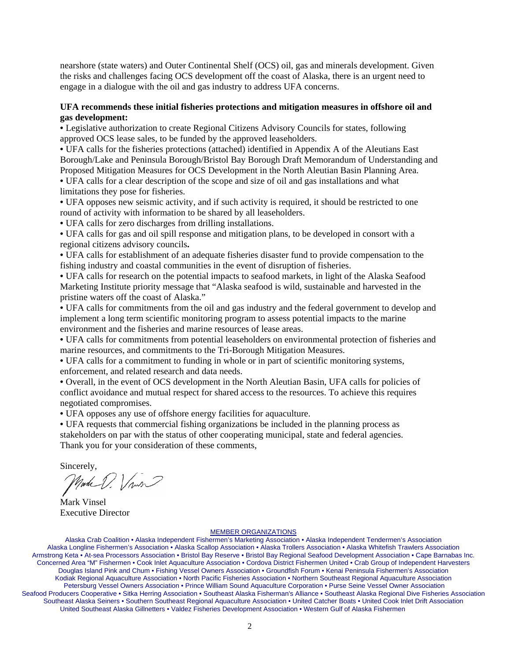nearshore (state waters) and Outer Continental Shelf (OCS) oil, gas and minerals development. Given the risks and challenges facing OCS development off the coast of Alaska, there is an urgent need to engage in a dialogue with the oil and gas industry to address UFA concerns.

### **UFA recommends these initial fisheries protections and mitigation measures in offshore oil and gas development:**

• Legislative authorization to create Regional Citizens Advisory Councils for states, following approved OCS lease sales, to be funded by the approved leaseholders.

• UFA calls for the fisheries protections (attached) identified in Appendix A of the Aleutians East Borough/Lake and Peninsula Borough/Bristol Bay Borough Draft Memorandum of Understanding and Proposed Mitigation Measures for OCS Development in the North Aleutian Basin Planning Area.

• UFA calls for a clear description of the scope and size of oil and gas installations and what limitations they pose for fisheries.

• UFA opposes new seismic activity, and if such activity is required, it should be restricted to one round of activity with information to be shared by all leaseholders.

• UFA calls for zero discharges from drilling installations.

• UFA calls for gas and oil spill response and mitigation plans, to be developed in consort with a regional citizens advisory councils**.**

• UFA calls for establishment of an adequate fisheries disaster fund to provide compensation to the fishing industry and coastal communities in the event of disruption of fisheries.

• UFA calls for research on the potential impacts to seafood markets, in light of the Alaska Seafood Marketing Institute priority message that "Alaska seafood is wild, sustainable and harvested in the pristine waters off the coast of Alaska."

• UFA calls for commitments from the oil and gas industry and the federal government to develop and implement a long term scientific monitoring program to assess potential impacts to the marine environment and the fisheries and marine resources of lease areas.

• UFA calls for commitments from potential leaseholders on environmental protection of fisheries and marine resources, and commitments to the Tri-Borough Mitigation Measures.

• UFA calls for a commitment to funding in whole or in part of scientific monitoring systems, enforcement, and related research and data needs.

• Overall, in the event of OCS development in the North Aleutian Basin, UFA calls for policies of conflict avoidance and mutual respect for shared access to the resources. To achieve this requires negotiated compromises.

• UFA opposes any use of offshore energy facilities for aquaculture.

• UFA requests that commercial fishing organizations be included in the planning process as stakeholders on par with the status of other cooperating municipal, state and federal agencies. Thank you for your consideration of these comments,

Sincerely,

Mark V. Vins

Mark Vinsel Executive Director

#### MEMBER ORGANIZATIONS

Alaska Crab Coalition • Alaska Independent Fishermen's Marketing Association • Alaska Independent Tendermen's Association Alaska Longline Fishermen's Association • Alaska Scallop Association • Alaska Trollers Association • Alaska Whitefish Trawlers Association Armstrong Keta • At-sea Processors Association • Bristol Bay Reserve • Bristol Bay Regional Seafood Development Association • Cape Barnabas Inc. Concerned Area "M" Fishermen • Cook Inlet Aquaculture Association • Cordova District Fishermen United • Crab Group of Independent Harvesters Douglas Island Pink and Chum • Fishing Vessel Owners Association • Groundfish Forum • Kenai Peninsula Fishermen's Association Kodiak Regional Aquaculture Association • North Pacific Fisheries Association • Northern Southeast Regional Aquaculture Association Petersburg Vessel Owners Association • Prince William Sound Aquaculture Corporation • Purse Seine Vessel Owner Association Seafood Producers Cooperative • Sitka Herring Association • Southeast Alaska Fisherman's Alliance • Southeast Alaska Regional Dive Fisheries Association Southeast Alaska Seiners • Southern Southeast Regional Aquaculture Association • United Catcher Boats • United Cook Inlet Drift Association United Southeast Alaska Gillnetters • Valdez Fisheries Development Association • Western Gulf of Alaska Fishermen